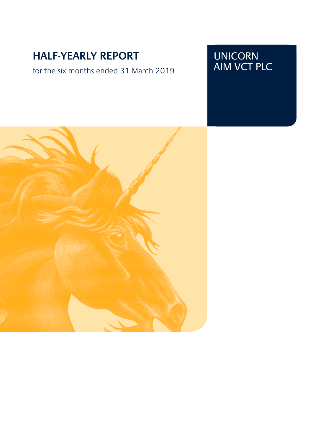# **HALF-YEARLY REPORT**

for the six months ended 31 March 2019

# UNICORN AIM VCT PLC

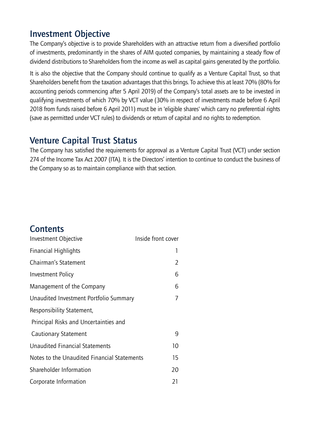# Investment Objective

The Company's objective is to provide Shareholders with an attractive return from a diversified portfolio of investments, predominantly in the shares of AIM quoted companies, by maintaining a steady flow of dividend distributions to Shareholders from the income as well as capital gains generated by the portfolio.

It is also the objective that the Company should continue to qualify as a Venture Capital Trust, so that Shareholders benefit from the taxation advantages that this brings. To achieve this at least 70% (80% for accounting periods commencing after 5 April 2019) of the Company's total assets are to be invested in qualifying investments of which 70% by VCT value (30% in respect of investments made before 6 April 2018 from funds raised before 6 April 2011) must be in 'eligible shares' which carry no preferential rights (save as permitted under VCT rules) to dividends or return of capital and no rights to redemption.

# Venture Capital Trust Status

The Company has satisfied the requirements for approval as a Venture Capital Trust (VCT) under section 274 of the Income Tax Act 2007 (ITA). It is the Directors' intention to continue to conduct the business of the Company so as to maintain compliance with that section.

# **Contents**

| Investment Objective                        | Inside front cover |
|---------------------------------------------|--------------------|
| <b>Financial Highlights</b>                 | 1                  |
| Chairman's Statement                        | 2                  |
| Investment Policy                           | 6                  |
| Management of the Company                   | 6                  |
| Unaudited Investment Portfolio Summary      | 7                  |
| Responsibility Statement,                   |                    |
| Principal Risks and Uncertainties and       |                    |
| Cautionary Statement                        | 9                  |
| <b>Unaudited Financial Statements</b>       | 10                 |
| Notes to the Unaudited Financial Statements | 15                 |
| Shareholder Information                     | 20                 |
| Corporate Information                       | 21                 |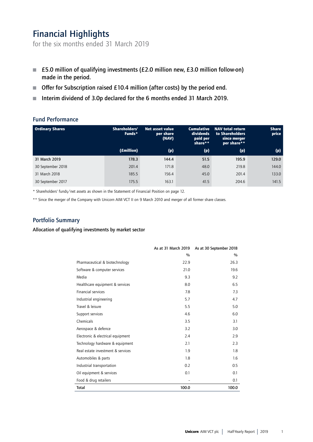# Financial Highlights

for the six months ended 31 March 2019

- £5.0 million of qualifying investments (£2.0 million new, £3.0 million follow-on) made in the period.
- $\blacksquare$  Offer for Subscription raised £10.4 million (after costs) by the period end.
- $\blacksquare$  Interim dividend of 3.0p declared for the 6 months ended 31 March 2019.

## Fund Performance

| <b>Ordinary Shares</b> | Shareholders'<br>Funds* | Net asset value<br>per share<br>(NAV) | <b>Cumulative</b><br>dividends<br>paid per<br>share** | <b>NAV total return</b><br>to Shareholders<br>since merger<br>per share** | <b>Share</b><br>price |
|------------------------|-------------------------|---------------------------------------|-------------------------------------------------------|---------------------------------------------------------------------------|-----------------------|
|                        | (£million)              | (p)                                   | (p)                                                   | (p)                                                                       | (p)                   |
| 31 March 2019          | 178.3                   | 144.4                                 | 51.5                                                  | 195.9                                                                     | 129.0                 |
| 30 September 2018      | 201.4                   | 171.8                                 | 48.0                                                  | 219.8                                                                     | 144.0                 |
| 31 March 2018          | 185.5                   | 156.4                                 | 45.0                                                  | 201.4                                                                     | 133.0                 |
| 30 September 2017      | 175.5                   | 163.1                                 | 41.5                                                  | 204.6                                                                     | 141.5                 |

\* Shareholders' funds/net assets as shown in the Statement of Financial Position on page 12.

\*\* Since the merger of the Company with Unicorn AIM VCT II on 9 March 2010 and merger of all former share classes.

## Portfolio Summary

Allocation of qualifying investments by market sector

|                                   | As at 31 March 2019 | As at 30 September 2018 |
|-----------------------------------|---------------------|-------------------------|
|                                   | $\frac{0}{0}$       | $\frac{0}{0}$           |
| Pharmaceutical & biotechnology    | 22.9                | 26.3                    |
| Software & computer services      | 21.0                | 19.6                    |
| Media                             | 9.3                 | 9.2                     |
| Healthcare equipment & services   | 8.0                 | 6.5                     |
| <b>Financial services</b>         | 7.8                 | 7.3                     |
| Industrial engineering            | 5.7                 | 4.7                     |
| Travel & leisure                  | 5.5                 | 5.0                     |
| Support services                  | 4.6                 | 6.0                     |
| Chemicals                         | 3.5                 | 3.1                     |
| Aerospace & defence               | 3.2                 | 3.0                     |
| Electronic & electrical equipment | 2.4                 | 2.9                     |
| Technology hardware & equipment   | 2.1                 | 2.3                     |
| Real estate investment & services | 1.9                 | 1.8                     |
| Automobiles & parts               | 1.8                 | 1.6                     |
| Industrial transportation         | 0.2                 | 0.5                     |
| Oil equipment & services          | 0.1                 | 0.1                     |
| Food & drug retailers             |                     | 0.1                     |
| Total                             | 100.0               | 100.0                   |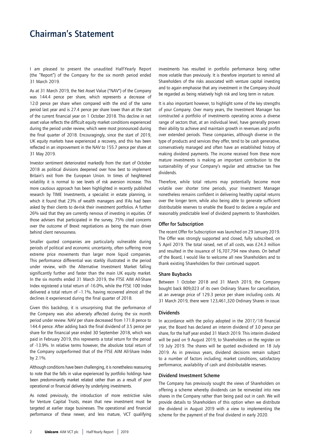## Chairman's Statement

I am pleased to present the unaudited Half-Yearly Report (the "Report") of the Company for the six month period ended 31 March 2019.

As at 31 March 2019, the Net Asset Value ("NAV") of the Company was 144.4 pence per share, which represents a decrease of 12.0 pence per share when compared with the end of the same period last year and is 27.4 pence per share lower than at the start of the current financial year on 1 October 2018. This decline in net asset value reflects the difficult equity market conditions experienced during the period under review, which were most pronounced during the final quarter of 2018. Encouragingly, since the start of 2019, UK equity markets have experienced a recovery, and this has been reflected in an improvement in the NAV to 155.7 pence per share at 31 May 2019.

Investor sentiment deteriorated markedly from the start of October 2018 as political divisions deepened over how best to implement Britain's exit from the European Union. In times of heightened volatility it is normal to see levels of risk aversion increase. This more cautious approach has been highlighted in recently published research by TIME Investments, a specialist in estate planning, in which it found that 23% of wealth managers and IFAs had been asked by their clients to de-risk their investment portfolios. A further 26% said that they are currently nervous of investing in equities. Of those advisers that participated in the survey, 75% cited concerns over the outcome of Brexit negotiations as being the main driver behind client nervousness.

Smaller quoted companies are particularly vulnerable during periods of political and economic uncertainty, often suffering more extreme price movements than larger more liquid companies. This performance differential was starkly illustrated in the period under review, with the Alternative Investment Market falling significantly further and faster than the main UK equity market. In the six months ended 31 March 2019, the FTSE AIM All-Share Index registered a total return of -16.0%, while the FTSE 100 Index delivered a total return of –1.1%, having recovered almost all the declines it experienced during the final quarter of 2018.

Given this backdrop, it is unsurprising that the performance of the Company was also adversely affected during the six month period under review. NAV per share decreased from 171.8 pence to 144.4 pence. After adding back the final dividend of 3.5 pence per share for the financial year ended 30 September 2018, which was paid in February 2019, this represents a total return for the period of -13.9%. In relative terms however, the absolute total return of the Company outperformed that of the FTSE AIM All-Share Index by 2.1%.

Although conditions have been challenging, it is nonetheless reassuring to note that the falls in value experienced by portfolio holdings have been predominantly market related rather than as a result of poor operational or financial delivery by underlying investments.

As noted previously, the introduction of more restrictive rules for Venture Capital Trusts, mean that new investment must be targeted at earlier stage businesses. The operational and financial performance of these newer, and less mature, VCT qualifying

investments has resulted in portfolio performance being rather more volatile than previously. It is therefore important to remind all Shareholders of the risks associated with venture capital investing and to again emphasise that any investment in the Company should be regarded as being relatively high risk and long term in nature.

It is also important however, to highlight some of the key strengths of your Company. Over many years, the Investment Manager has constructed a portfolio of investments operating across a diverse range of sectors that, at an individual level, have generally proven their ability to achieve and maintain growth in revenues and profits over extended periods. These companies, although diverse in the type of products and services they offer, tend to be cash generative, conservatively managed and often have an established history of making dividend payments. The income received from these more mature investments is making an important contribution to the sustainability of your Company's regular and attractive tax free dividends.

Therefore, while total returns may potentially become more volatile over shorter time periods, your Investment Manager nonetheless remains confident in delivering healthy capital returns over the longer term, while also being able to generate sufficient distributable reserves to enable the Board to declare a regular and reasonably predictable level of dividend payments to Shareholders.

#### Offer for Subscription

The recent Offer for Subscription was launched on 29 January 2019. The Offer was strongly supported and closed, fully subscribed, on 5 April 2019. The total raised, net of all costs, was £24.3 million and resulted in the issuance of 16,707,794 new shares. On behalf of the Board, I would like to welcome all new Shareholders and to thank existing Shareholders for their continued support.

#### Share Buybacks

Between 1 October 2018 and 31 March 2019, the Company bought back 809,023 of its own Ordinary Shares for cancellation, at an average price of 129.3 pence per share including costs. At 31 March 2019, there were 123,461,320 Ordinary Shares in issue.

## Dividends

In accordance with the policy adopted in the 2017/18 financial year, the Board has declared an interim dividend of 3.0 pence per share, for the half year ended 31 March 2019. This interim dividend will be paid on 9 August 2019, to Shareholders on the register on 19 July 2019. The shares will be quoted ex-dividend on 18 July 2019. As in previous years, dividend decisions remain subject to a number of factors including; market conditions, satisfactory performance, availability of cash and distributable reserves.

## Dividend Investment Scheme

The Company has previously sought the views of Shareholders on offering a scheme whereby dividends can be reinvested into new shares in the Company rather than being paid out in cash. We will provide details to Shareholders of this option when we distribute the dividend in August 2019 with a view to implementing the scheme for the payment of the final dividend in early 2020.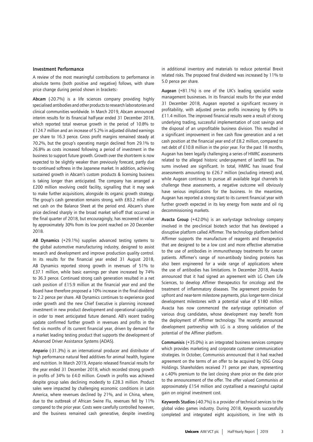#### Investment Performance

A review of the most meaningful contributions to performance in absolute terms (both positive and negative) follows, with share price change during period shown in brackets:-

Abcam (-20.7%) is a life sciences company providing highly specialised antibodies and other products to research laboratories and clinical communities worldwide. In March 2019, Abcam announced interim results for its financial half-year ended 31 December 2018, which reported total revenue growth in the period of 10.8% to £124.7 million and an increase of 5.2% in adjusted diluted earnings per share to 16.3 pence. Gross profit margins remained steady at 70.2%, but the group's operating margin declined from 29.1% to 26.8% as costs increased following a period of investment in the business to support future growth. Growth over the short-term is now expected to be slightly weaker than previously forecast, partly due to continued softness in the Japanese market. In addition, achieving sustained growth in Abcam's custom products & licensing business is taking longer than anticipated. The company has arranged a £200 million revolving credit facility, signalling that it may seek to make further acquisitions, alongside its organic growth strategy. The group's cash generation remains strong, with £83.2 million of net cash on the Balance Sheet at the period end. Abcam's share price declined sharply in the broad market sell-off that occurred in the final quarter of 2018, but encouragingly, has recovered in value by approximately 30% from its low point reached on 20 December 2018.

AB Dynamics (+29.1%) supplies advanced testing systems to the global automotive manufacturing industry, designed to assist research and development and improve production quality control. In its results for the financial year ended 31 August 2018, AB Dynamics reported strong growth in revenues of 51% to £37.1 million, while basic earnings per share increased by 74% to 36.3 pence. Continued strong cash generation resulted in a net cash position of £15.9 million at the financial year end and the Board have therefore proposed a 10% increase in the final dividend to 2.2 pence per share. AB Dynamics continues to experience good order growth and the new Chief Executive is planning increased investment in new product development and operational capability in order to meet anticipated future demand. AB's recent trading update confirmed further growth in revenues and profits in the first six months of its current financial year, driven by demand for a market leading testing product that supports the development of Advanced Driver Assistance Systems (ADAS).

Anpario (-31.3%) is an international producer and distributor of high performance natural feed additives for animal health, hygiene and nutrition. In March 2019, Anpario released financial results for the year ended 31 December 2018, which recorded strong growth in profits of 34% to £4.0 million. Growth in profits was achieved despite group sales declining modestly to £28.3 million. Product sales were impacted by challenging economic conditions in Latin America, where revenues declined by 21%, and in China, where, due to the outbreak of African Swine Flu, revenues fell by 11% compared to the prior year. Costs were carefully controlled however, and the business remained cash generative, despite investing

in additional inventory and materials to reduce potential Brexit related risks. The proposed final dividend was increased by 11% to 5.0 pence per share.

Augean (+81.1%) is one of the UK's leading specialist waste management businesses. In its financial results for the year ended 31 December 2018, Augean reported a significant recovery in profitability, with adjusted pre-tax profits increasing by 69% to £11.4 million. The improved financial results were a result of strong underlying trading, successful implementation of cost savings and the disposal of an unprofitable business division. This resulted in a significant improvement in free cash flow generation and a net cash position at the financial year end of £8.2 million, compared to net debt of £10.8 million in the prior year. For the past 18 months, Augean has been legally challenging a series of HMRC assessments related to the alleged historic under-payment of landfill tax. The sums involved are significant. In total, HMRC has issued final assessments amounting to £26.7 million (excluding interest) and, while Augean continues to pursue all available legal channels to challenge these assessments, a negative outcome will obviously have serious implications for the business. In the meantime, Augean has reported a strong start to its current financial year with further growth expected in its key energy from waste and oil rig decommissioning markets.

Avacta Group (+42.0%) is an early-stage technology company involved in the pre-clinical biotech sector that has developed a disruptive platform called Affirmer. The technology platform behind Affirmer supports the manufacture of reagents and therapeutics that are designed to be a low cost and more effective alternative to the use of antibodies in immunotherapy treatments for cancer patients. Affirmer's range of non-antibody binding proteins has also been engineered for a wide range of applications where the use of antibodies has limitations. In December 2018, Avacta announced that it had signed an agreement with LG Chem Life Sciences, to develop Affimer therapeutics for oncology and the treatment of inflammatory diseases. The agreement provides for upfront and near-term milestone payments, plus longer-term clinical development milestones with a potential value of \$180 million. Avacta has now commenced the early-stage optimisation of various drug candidates, whose development may benefit from the deployment of Affirmer technology. The recently announced development partnership with LG is a strong validation of the potential of the Affimer platform.

Communisis (+35.0%) is an integrated business services company which provides marketing and corporate customer communication strategies. In October, Communisis announced that it had reached agreement on the terms of an offer to be acquired by OSG Group Holdings. Shareholders received 71 pence per share, representing a c.40% premium to the last closing share price on the date prior to the announcement of the offer. The offer valued Communisis at approximately £154 million and crystallised a meaningful capital gain on original investment cost.

Keywords Studios (-40.7%) is a provider of technical services to the global video games industry. During 2018, Keywords successfully completed and integrated eight acquisitions, in line with its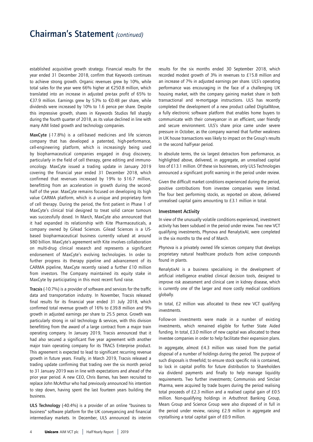## Chairman's Statement *(continued)*

established acquisitive growth strategy. Financial results for the year ended 31 December 2018, confirm that Keywords continues to achieve strong growth. Organic revenues grew by 10%, while total sales for the year were 66% higher at €250.8 million, which translated into an increase in adjusted pre-tax profit of 65% to €37.9 million. Earnings grew by 53% to €0.48 per share, while dividends were increased by 10% to 1.6 pence per share. Despite this impressive growth, shares in Keywords Studios fell sharply during the fourth quarter of 2018, as its value declined in line with many AIM listed growth and technology companies.

MaxCyte (-17.8%) is a cell-based medicines and life sciences company that has developed a patented, high-performance, cell-engineering platform, which is increasingly being used by biopharmaceutical companies engaged in drug discovery, particularly in the field of cell therapy, gene editing and immunooncology. MaxCyte issued a trading update in January 2019 covering the financial year ended 31 December 2018, which confirmed that revenues increased by 19% to \$16.7 million, benefitting from an acceleration in growth during the secondhalf of the year. MaxCyte remains focused on developing its high value CARMA platform, which is a unique and proprietary form of cell therapy. During the period, the first patient in Phase 1 of MaxCyte's clinical trial designed to treat solid cancer tumours was successfully dosed. In March, MaxCyte also announced that it had expanded its relationship with Kite Pharmaceuticals, a company owned by Gilead Sciences. Gilead Sciences is a USbased biopharmaceutical business currently valued at around \$80 billion. MaxCyte's agreement with Kite involves collaboration on multi-drug clinical research and represents a significant endorsement of MaxCyte's evolving technologies. In order to further progress its therapy pipeline and advancement of its CARMA pipeline, MaxCyte recently raised a further £10 million from investors. The Company maintained its equity stake in MaxCyte by participating in this most recent fund raise.

Tracsis (-10.7%) is a provider of software and services for the traffic data and transportation industry. In November, Tracsis released final results for its financial year ended 31 July 2018, which confirmed total revenue growth of 16% to £39.8 million and 9% growth in adjusted earnings per share to 25.5 pence. Growth was particularly strong in rail technology & services, with this division benefitting from the award of a large contract from a major train operating company. In January 2019, Tracsis announced that it had also secured a significant five year agreement with another major train operating company for its TRACS Enterprise product. This agreement is expected to lead to significant recurring revenue growth in future years. Finally, in March 2019, Tracsis released a trading update confirming that trading over the six month period to 31 January 2019 was in line with expectations and ahead of the prior year period. A new CEO, Chris Barnes, has been recruited to replace John McArthur who had previously announced his intention to step down, having spent the last fourteen years building the business.

ULS Technology (-40.4%) is a provider of an online "business to business" software platform for the UK conveyancing and financial intermediary markets. In December, ULS announced its interim

results for the six months ended 30 September 2018, which recorded modest growth of 3% in revenues to £15.8 million and an increase of 7% in adjusted earnings per share. ULS's operating performance was encouraging in the face of a challenging UK housing market, with the company gaining market share in both transactional and re-mortgage instructions. ULS has recently completed the development of a new product called DigitalMove, a fully electronic software platform that enables home buyers to communicate with their conveyancer in an efficient, user friendly and secure environment. ULS's share price came under severe pressure in October, as the company warned that further weakness in UK house transactions was likely to impact on the Group's results in the second half-year period.

In absolute terms, the six largest detractors from performance, as highlighted above, delivered, in aggregate, an unrealised capital loss of £13.1 million. Of these six businesses, only ULS Technologies announced a significant profit warning in the period under review.

Given the difficult market conditions experienced during the period, positive contributions from investee companies were limited. The four best performing stocks, as reported on above, delivered unrealised capital gains amounting to £3.1 million in total.

## Investment Activity

In view of the unusually volatile conditions experienced, investment activity has been subdued in the period under review. Two new VCT qualifying investments, Phynova and RenalytixAI, were completed in the six months to the end of March.

Phynova is a privately owned life sciences company that develops proprietary natural healthcare products from active compounds found in plants.

RenalytixAI is a business specialising in the development of artificial intelligence enabled clinical decision tools, designed to improve risk assessment and clinical care in kidney disease, which is currently one of the larger and more costly medical conditions globally.

In total, £2 million was allocated to these new VCT qualifying investments.

Follow-on investments were made in a number of existing investments, which remained eligible for further State Aided funding. In total, £3.0 million of new capital was allocated to these investee companies in order to help facilitate their expansion plans.

In aggregate, almost £4.3 million was raised from the partial disposal of a number of holdings during the period. The purpose of such disposals is threefold; to ensure stock specific risk is contained, to lock in capital profits for future distribution to Shareholders via dividend payments and finally to help manage liquidity requirements. Two further investments; Communisis and Sinclair Pharma, were acquired by trade buyers during the period realising total proceeds of £2.3 million and a realised capital gain of £0.5 million. Non-qualifying holdings in Arbuthnot Banking Group, Mears Group and Science Group were also disposed of in full in the period under review, raising £2.9 million in aggregate and crystallising a total capital gain of £0.9 million.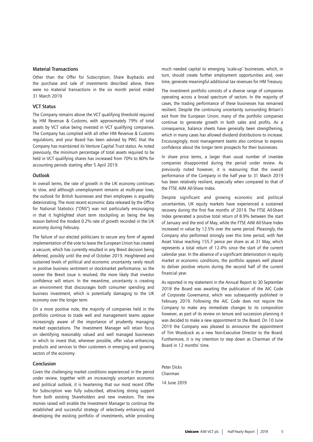## Material Transactions

Other than the Offer for Subscription, Share Buybacks and the purchase and sale of investments described above, there were no material transactions in the six month period ended 31 March 2019.

## VCT Status

The Company remains above the VCT qualifying threshold required by HM Revenue & Customs, with approximately 79% of total assets by VCT value being invested in VCT qualifying companies. The Company has complied with all other HM Revenue & Customs regulations, and your Board has been advised by PWC that the Company has maintained its Venture Capital Trust status. As noted previously, the minimum percentage of total assets required to be held in VCT qualifying shares has increased from 70% to 80% for accounting periods starting after 5 April 2019.

## **Outlook**

In overall terms, the rate of growth in the UK economy continues to slow, and although unemployment remains at multi-year lows, the outlook for British businesses and their employees is arguably deteriorating. The most recent economic data released by the Office for National Statistics ("ONS") was not particularly encouraging in that it highlighted short term stockpiling as being the key reason behind the modest 0.2% rate of growth recorded in the UK economy during February.

The failure of our elected politicians to secure any form of agreed implementation of the vote to leave the European Union has created a vacuum, which has currently resulted in any Brexit decision being deferred, possibly until the end of October 2019. Heightened and sustained levels of political and economic uncertainty rarely result in positive business sentiment or stockmarket performance, so the sooner the Brexit issue is resolved, the more likely that investor confidence will return. In the meantime, uncertainty is creating an environment that discourages both consumer spending and business investment, which is potentially damaging to the UK economy over the longer term.

On a more positive note, the majority of companies held in the portfolio continue to trade well and management teams appear increasingly aware of the importance of prudently managing market expectations. The Investment Manager will retain focus on identifying reasonably valued and well managed businesses in which to invest that, wherever possible, offer value enhancing products and services to their customers in emerging and growing sectors of the economy.

### Conclusion

Given the challenging market conditions experienced in the period under review, together with an increasingly uncertain economic and political outlook, it is heartening that our most recent Offer for Subscription was fully subscribed, attracting strong support from both existing Shareholders and new investors. The new monies raised will enable the Investment Manager to continue the established and successful strategy of selectively enhancing and developing the existing portfolio of investments, while providing much needed capital to emerging 'scale-up' businesses, which, in turn, should create further employment opportunities and, over time, generate meaningful additional tax revenues for HM Treasury.

The investment portfolio consists of a diverse range of companies operating across a broad spectrum of sectors. In the majority of cases, the trading performance of these businesses has remained resilient. Despite the continuing uncertainty surrounding Britain's exit from the European Union, many of the portfolio companies continue to generate growth in both sales and profits. As a consequence, balance sheets have generally been strengthening, which in many cases has allowed dividend distributions to increase. Encouragingly, most management teams also continue to express confidence about the longer term prospects for their businesses.

In share price terms, a larger than usual number of investee companies disappointed during the period under review. As previously noted however, it is reassuring that the overall performance of the Company in the half year to 31 March 2019 has been relatively resilient, especially when compared to that of the FTSE AIM All-Share Index.

Despite significant and growing economic and political uncertainties, UK equity markets have experienced a sustained recovery during the first five months of 2019. The FTSE All-Share Index generated a positive total return of 8.9% between the start of January and the end of May, while the FTSE AIM All-Share Index increased in value by 12.5% over the same period. Pleasingly, the Company also performed strongly over this time period, with Net Asset Value reaching 155.7 pence per share as at 31 May, which represents a total return of 12.4% since the start of the current calendar year. In the absence of a significant deterioration in equity market or economic conditions, the portfolio appears well placed to deliver positive returns during the second half of the current financial year.

As reported in my statement in the Annual Report to 30 September 2018 the Board was awaiting the publication of the AIC Code of Corporate Governance, which was subsequently published in February 2019. Following the AIC Code does not require the Company to make any immediate changes to its composition however, as part of its review on tenure and succession planning it was decided to make a new appointment to the Board. On 10 June 2019 the Company was pleased to announce the appointment of Tim Woodcock as a new Non-Executive Director to the Board. Furthermore, it is my intention to step down as Chairman of the Board in 12 months' time.

Peter Dicks Chairman 14 June 2019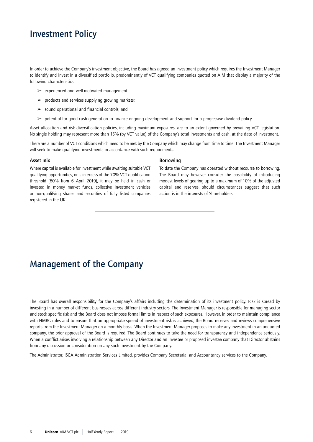## Investment Policy

In order to achieve the Company's investment objective, the Board has agreed an investment policy which requires the Investment Manager to identify and invest in a diversified portfolio, predominantly of VCT qualifying companies quoted on AIM that display a majority of the following characteristics:

- $\triangleright$  experienced and well-motivated management;
- $\triangleright$  products and services supplying growing markets;
- $\geq$  sound operational and financial controls; and
- $\triangleright$  potential for good cash generation to finance ongoing development and support for a progressive dividend policy.

Asset allocation and risk diversification policies, including maximum exposures, are to an extent governed by prevailing VCT legislation. No single holding may represent more than 15% (by VCT value) of the Company's total investments and cash, at the date of investment.

There are a number of VCT conditions which need to be met by the Company which may change from time to time. The Investment Manager will seek to make qualifying investments in accordance with such requirements.

#### Asset mix

Where capital is available for investment while awaiting suitable VCT qualifying opportunities, or is in excess of the 70% VCT qualification threshold (80% from 6 April 2019), it may be held in cash or invested in money market funds, collective investment vehicles or non-qualifying shares and securities of fully listed companies registered in the UK.

#### Borrowing

To date the Company has operated without recourse to borrowing. The Board may however consider the possibility of introducing modest levels of gearing up to a maximum of 10% of the adjusted capital and reserves, should circumstances suggest that such action is in the interests of Shareholders.

## Management of the Company

The Board has overall responsibility for the Company's affairs including the determination of its investment policy. Risk is spread by investing in a number of different businesses across different industry sectors. The Investment Manager is responsible for managing sector and stock specific risk and the Board does not impose formal limits in respect of such exposures. However, in order to maintain compliance with HMRC rules and to ensure that an appropriate spread of investment risk is achieved, the Board receives and reviews comprehensive reports from the Investment Manager on a monthly basis. When the Investment Manager proposes to make any investment in an unquoted company, the prior approval of the Board is required. The Board continues to take the need for transparency and independence seriously. When a conflict arises involving a relationship between any Director and an investee or proposed investee company that Director abstains from any discussion or consideration on any such investment by the Company.

The Administrator, ISCA Administration Services Limited, provides Company Secretarial and Accountancy services to the Company.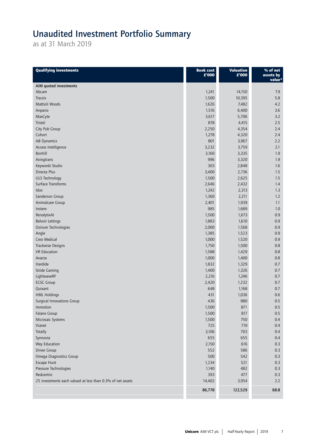# Unaudited Investment Portfolio Summary

as at 31 March 2019

| AIM quoted investments<br>Abcam<br>1,241<br>14,150<br>7.9<br>1,500<br>10,395<br>5.8<br><b>Tracsis</b><br>Mattioli Woods<br>1,626<br>7,482<br>4.2<br>3.6<br>Anpario<br>1,516<br>6,400<br>3,617<br>5,706<br>3.2<br>MaxCyte<br>878<br>$2.5$<br>Tristel<br>4,415<br>City Pub Group<br>2,250<br>4,354<br>2.4<br>Cohort<br>1,278<br>4,320<br>2.4<br>801<br>AB Dynamics<br>3,967<br>2.2<br>3,759<br>Access Intelligence<br>3,232<br>2.1<br>Bonhill<br>3,335<br>3,160<br>1.9<br>996<br>3,320<br>Avingtrans<br>1.9<br>303<br>Keywords Studio<br>2,848<br>1.6<br>Directa Plus<br>3,400<br>2,736<br>1.5<br>2,625<br><b>ULS Technology</b><br>1,500<br>1.5<br>Surface Transforms<br>2,646<br>2,432<br>1.4<br>Idox<br>1,242<br>2,313<br>1.3<br>Sanderson Group<br>1,360<br>2,211<br>1.2<br>Animalcare Group<br>2,401<br>1,939<br>1.1<br>985<br>1,689<br>1.0<br>Instem<br>RenalytixAl<br>1,500<br>0.9<br>1,673<br>1,883<br><b>Belvoir Lettings</b><br>1,610<br>0.9<br>2,000<br>Osirium Technologies<br>1,568<br>0.9<br>Angle<br>1,385<br>1,523<br>0.9<br>Creo Medical<br>1,000<br>1,520<br>0.9<br>Trackwise Designs<br>1,750<br>1,500<br>0.8<br><b>VR</b> Education<br>1,588<br>1,429<br>0.8<br>1,000<br>Avacta<br>1,400<br>0.8<br>Hardide<br>1,832<br>1,329<br>0.7<br>1,400<br><b>Stride Gaming</b><br>1,326<br>0.7<br>LightwaveRF<br>2,216<br>1,246<br>0.7<br><b>ECSC Group</b><br>2,420<br>1,232<br>0.7<br>Quixant<br>648<br>1,168<br>0.7<br>431<br>0.6<br><b>HML Holdings</b><br>1,036<br>436<br>880<br>$0.5\,$<br>Surgical Innovations Group<br>Immotion<br>1,500<br>871<br>0.5<br>1,500<br>Falanx Group<br>817<br>0.5<br>Microsaic Systems<br>1,500<br>750<br>0.4<br>Vianet<br>725<br>719<br>0.4<br>Totally<br>3,106<br>703<br>0.4<br>Synnovia<br>655<br>655<br>0.4<br>Wey Education<br>2,150<br>616<br>0.3<br>Driver Group<br>552<br>586<br>0.3<br>500<br>Omega Diagnostics Group<br>542<br>0.3<br>Escape Hunt<br>1,234<br>521<br>0.3<br>Pressure Technologies<br>1,140<br>482<br>0.3<br>393<br>477<br>Redcentric<br>0.3<br>14,402<br>25 investments each valued at less than 0.3% of net assets<br>3,954<br>2.2<br>86,778<br>122,529<br>68.8 | <b>Qualifying investments</b> | <b>Book cost</b><br>£'000 | <b>Valuation</b><br>£'000 | $%$ of net<br>assets by<br>value* |
|----------------------------------------------------------------------------------------------------------------------------------------------------------------------------------------------------------------------------------------------------------------------------------------------------------------------------------------------------------------------------------------------------------------------------------------------------------------------------------------------------------------------------------------------------------------------------------------------------------------------------------------------------------------------------------------------------------------------------------------------------------------------------------------------------------------------------------------------------------------------------------------------------------------------------------------------------------------------------------------------------------------------------------------------------------------------------------------------------------------------------------------------------------------------------------------------------------------------------------------------------------------------------------------------------------------------------------------------------------------------------------------------------------------------------------------------------------------------------------------------------------------------------------------------------------------------------------------------------------------------------------------------------------------------------------------------------------------------------------------------------------------------------------------------------------------------------------------------------------------------------------------------------------------------------------------------------------------------------------------------------------------------------------------------------------------------------------------------------------------------------------------|-------------------------------|---------------------------|---------------------------|-----------------------------------|
|                                                                                                                                                                                                                                                                                                                                                                                                                                                                                                                                                                                                                                                                                                                                                                                                                                                                                                                                                                                                                                                                                                                                                                                                                                                                                                                                                                                                                                                                                                                                                                                                                                                                                                                                                                                                                                                                                                                                                                                                                                                                                                                                        |                               |                           |                           |                                   |
|                                                                                                                                                                                                                                                                                                                                                                                                                                                                                                                                                                                                                                                                                                                                                                                                                                                                                                                                                                                                                                                                                                                                                                                                                                                                                                                                                                                                                                                                                                                                                                                                                                                                                                                                                                                                                                                                                                                                                                                                                                                                                                                                        |                               |                           |                           |                                   |
|                                                                                                                                                                                                                                                                                                                                                                                                                                                                                                                                                                                                                                                                                                                                                                                                                                                                                                                                                                                                                                                                                                                                                                                                                                                                                                                                                                                                                                                                                                                                                                                                                                                                                                                                                                                                                                                                                                                                                                                                                                                                                                                                        |                               |                           |                           |                                   |
|                                                                                                                                                                                                                                                                                                                                                                                                                                                                                                                                                                                                                                                                                                                                                                                                                                                                                                                                                                                                                                                                                                                                                                                                                                                                                                                                                                                                                                                                                                                                                                                                                                                                                                                                                                                                                                                                                                                                                                                                                                                                                                                                        |                               |                           |                           |                                   |
|                                                                                                                                                                                                                                                                                                                                                                                                                                                                                                                                                                                                                                                                                                                                                                                                                                                                                                                                                                                                                                                                                                                                                                                                                                                                                                                                                                                                                                                                                                                                                                                                                                                                                                                                                                                                                                                                                                                                                                                                                                                                                                                                        |                               |                           |                           |                                   |
|                                                                                                                                                                                                                                                                                                                                                                                                                                                                                                                                                                                                                                                                                                                                                                                                                                                                                                                                                                                                                                                                                                                                                                                                                                                                                                                                                                                                                                                                                                                                                                                                                                                                                                                                                                                                                                                                                                                                                                                                                                                                                                                                        |                               |                           |                           |                                   |
|                                                                                                                                                                                                                                                                                                                                                                                                                                                                                                                                                                                                                                                                                                                                                                                                                                                                                                                                                                                                                                                                                                                                                                                                                                                                                                                                                                                                                                                                                                                                                                                                                                                                                                                                                                                                                                                                                                                                                                                                                                                                                                                                        |                               |                           |                           |                                   |
|                                                                                                                                                                                                                                                                                                                                                                                                                                                                                                                                                                                                                                                                                                                                                                                                                                                                                                                                                                                                                                                                                                                                                                                                                                                                                                                                                                                                                                                                                                                                                                                                                                                                                                                                                                                                                                                                                                                                                                                                                                                                                                                                        |                               |                           |                           |                                   |
|                                                                                                                                                                                                                                                                                                                                                                                                                                                                                                                                                                                                                                                                                                                                                                                                                                                                                                                                                                                                                                                                                                                                                                                                                                                                                                                                                                                                                                                                                                                                                                                                                                                                                                                                                                                                                                                                                                                                                                                                                                                                                                                                        |                               |                           |                           |                                   |
|                                                                                                                                                                                                                                                                                                                                                                                                                                                                                                                                                                                                                                                                                                                                                                                                                                                                                                                                                                                                                                                                                                                                                                                                                                                                                                                                                                                                                                                                                                                                                                                                                                                                                                                                                                                                                                                                                                                                                                                                                                                                                                                                        |                               |                           |                           |                                   |
|                                                                                                                                                                                                                                                                                                                                                                                                                                                                                                                                                                                                                                                                                                                                                                                                                                                                                                                                                                                                                                                                                                                                                                                                                                                                                                                                                                                                                                                                                                                                                                                                                                                                                                                                                                                                                                                                                                                                                                                                                                                                                                                                        |                               |                           |                           |                                   |
|                                                                                                                                                                                                                                                                                                                                                                                                                                                                                                                                                                                                                                                                                                                                                                                                                                                                                                                                                                                                                                                                                                                                                                                                                                                                                                                                                                                                                                                                                                                                                                                                                                                                                                                                                                                                                                                                                                                                                                                                                                                                                                                                        |                               |                           |                           |                                   |
|                                                                                                                                                                                                                                                                                                                                                                                                                                                                                                                                                                                                                                                                                                                                                                                                                                                                                                                                                                                                                                                                                                                                                                                                                                                                                                                                                                                                                                                                                                                                                                                                                                                                                                                                                                                                                                                                                                                                                                                                                                                                                                                                        |                               |                           |                           |                                   |
|                                                                                                                                                                                                                                                                                                                                                                                                                                                                                                                                                                                                                                                                                                                                                                                                                                                                                                                                                                                                                                                                                                                                                                                                                                                                                                                                                                                                                                                                                                                                                                                                                                                                                                                                                                                                                                                                                                                                                                                                                                                                                                                                        |                               |                           |                           |                                   |
|                                                                                                                                                                                                                                                                                                                                                                                                                                                                                                                                                                                                                                                                                                                                                                                                                                                                                                                                                                                                                                                                                                                                                                                                                                                                                                                                                                                                                                                                                                                                                                                                                                                                                                                                                                                                                                                                                                                                                                                                                                                                                                                                        |                               |                           |                           |                                   |
|                                                                                                                                                                                                                                                                                                                                                                                                                                                                                                                                                                                                                                                                                                                                                                                                                                                                                                                                                                                                                                                                                                                                                                                                                                                                                                                                                                                                                                                                                                                                                                                                                                                                                                                                                                                                                                                                                                                                                                                                                                                                                                                                        |                               |                           |                           |                                   |
|                                                                                                                                                                                                                                                                                                                                                                                                                                                                                                                                                                                                                                                                                                                                                                                                                                                                                                                                                                                                                                                                                                                                                                                                                                                                                                                                                                                                                                                                                                                                                                                                                                                                                                                                                                                                                                                                                                                                                                                                                                                                                                                                        |                               |                           |                           |                                   |
|                                                                                                                                                                                                                                                                                                                                                                                                                                                                                                                                                                                                                                                                                                                                                                                                                                                                                                                                                                                                                                                                                                                                                                                                                                                                                                                                                                                                                                                                                                                                                                                                                                                                                                                                                                                                                                                                                                                                                                                                                                                                                                                                        |                               |                           |                           |                                   |
|                                                                                                                                                                                                                                                                                                                                                                                                                                                                                                                                                                                                                                                                                                                                                                                                                                                                                                                                                                                                                                                                                                                                                                                                                                                                                                                                                                                                                                                                                                                                                                                                                                                                                                                                                                                                                                                                                                                                                                                                                                                                                                                                        |                               |                           |                           |                                   |
|                                                                                                                                                                                                                                                                                                                                                                                                                                                                                                                                                                                                                                                                                                                                                                                                                                                                                                                                                                                                                                                                                                                                                                                                                                                                                                                                                                                                                                                                                                                                                                                                                                                                                                                                                                                                                                                                                                                                                                                                                                                                                                                                        |                               |                           |                           |                                   |
|                                                                                                                                                                                                                                                                                                                                                                                                                                                                                                                                                                                                                                                                                                                                                                                                                                                                                                                                                                                                                                                                                                                                                                                                                                                                                                                                                                                                                                                                                                                                                                                                                                                                                                                                                                                                                                                                                                                                                                                                                                                                                                                                        |                               |                           |                           |                                   |
|                                                                                                                                                                                                                                                                                                                                                                                                                                                                                                                                                                                                                                                                                                                                                                                                                                                                                                                                                                                                                                                                                                                                                                                                                                                                                                                                                                                                                                                                                                                                                                                                                                                                                                                                                                                                                                                                                                                                                                                                                                                                                                                                        |                               |                           |                           |                                   |
|                                                                                                                                                                                                                                                                                                                                                                                                                                                                                                                                                                                                                                                                                                                                                                                                                                                                                                                                                                                                                                                                                                                                                                                                                                                                                                                                                                                                                                                                                                                                                                                                                                                                                                                                                                                                                                                                                                                                                                                                                                                                                                                                        |                               |                           |                           |                                   |
|                                                                                                                                                                                                                                                                                                                                                                                                                                                                                                                                                                                                                                                                                                                                                                                                                                                                                                                                                                                                                                                                                                                                                                                                                                                                                                                                                                                                                                                                                                                                                                                                                                                                                                                                                                                                                                                                                                                                                                                                                                                                                                                                        |                               |                           |                           |                                   |
|                                                                                                                                                                                                                                                                                                                                                                                                                                                                                                                                                                                                                                                                                                                                                                                                                                                                                                                                                                                                                                                                                                                                                                                                                                                                                                                                                                                                                                                                                                                                                                                                                                                                                                                                                                                                                                                                                                                                                                                                                                                                                                                                        |                               |                           |                           |                                   |
|                                                                                                                                                                                                                                                                                                                                                                                                                                                                                                                                                                                                                                                                                                                                                                                                                                                                                                                                                                                                                                                                                                                                                                                                                                                                                                                                                                                                                                                                                                                                                                                                                                                                                                                                                                                                                                                                                                                                                                                                                                                                                                                                        |                               |                           |                           |                                   |
|                                                                                                                                                                                                                                                                                                                                                                                                                                                                                                                                                                                                                                                                                                                                                                                                                                                                                                                                                                                                                                                                                                                                                                                                                                                                                                                                                                                                                                                                                                                                                                                                                                                                                                                                                                                                                                                                                                                                                                                                                                                                                                                                        |                               |                           |                           |                                   |
|                                                                                                                                                                                                                                                                                                                                                                                                                                                                                                                                                                                                                                                                                                                                                                                                                                                                                                                                                                                                                                                                                                                                                                                                                                                                                                                                                                                                                                                                                                                                                                                                                                                                                                                                                                                                                                                                                                                                                                                                                                                                                                                                        |                               |                           |                           |                                   |
|                                                                                                                                                                                                                                                                                                                                                                                                                                                                                                                                                                                                                                                                                                                                                                                                                                                                                                                                                                                                                                                                                                                                                                                                                                                                                                                                                                                                                                                                                                                                                                                                                                                                                                                                                                                                                                                                                                                                                                                                                                                                                                                                        |                               |                           |                           |                                   |
|                                                                                                                                                                                                                                                                                                                                                                                                                                                                                                                                                                                                                                                                                                                                                                                                                                                                                                                                                                                                                                                                                                                                                                                                                                                                                                                                                                                                                                                                                                                                                                                                                                                                                                                                                                                                                                                                                                                                                                                                                                                                                                                                        |                               |                           |                           |                                   |
|                                                                                                                                                                                                                                                                                                                                                                                                                                                                                                                                                                                                                                                                                                                                                                                                                                                                                                                                                                                                                                                                                                                                                                                                                                                                                                                                                                                                                                                                                                                                                                                                                                                                                                                                                                                                                                                                                                                                                                                                                                                                                                                                        |                               |                           |                           |                                   |
|                                                                                                                                                                                                                                                                                                                                                                                                                                                                                                                                                                                                                                                                                                                                                                                                                                                                                                                                                                                                                                                                                                                                                                                                                                                                                                                                                                                                                                                                                                                                                                                                                                                                                                                                                                                                                                                                                                                                                                                                                                                                                                                                        |                               |                           |                           |                                   |
|                                                                                                                                                                                                                                                                                                                                                                                                                                                                                                                                                                                                                                                                                                                                                                                                                                                                                                                                                                                                                                                                                                                                                                                                                                                                                                                                                                                                                                                                                                                                                                                                                                                                                                                                                                                                                                                                                                                                                                                                                                                                                                                                        |                               |                           |                           |                                   |
|                                                                                                                                                                                                                                                                                                                                                                                                                                                                                                                                                                                                                                                                                                                                                                                                                                                                                                                                                                                                                                                                                                                                                                                                                                                                                                                                                                                                                                                                                                                                                                                                                                                                                                                                                                                                                                                                                                                                                                                                                                                                                                                                        |                               |                           |                           |                                   |
|                                                                                                                                                                                                                                                                                                                                                                                                                                                                                                                                                                                                                                                                                                                                                                                                                                                                                                                                                                                                                                                                                                                                                                                                                                                                                                                                                                                                                                                                                                                                                                                                                                                                                                                                                                                                                                                                                                                                                                                                                                                                                                                                        |                               |                           |                           |                                   |
|                                                                                                                                                                                                                                                                                                                                                                                                                                                                                                                                                                                                                                                                                                                                                                                                                                                                                                                                                                                                                                                                                                                                                                                                                                                                                                                                                                                                                                                                                                                                                                                                                                                                                                                                                                                                                                                                                                                                                                                                                                                                                                                                        |                               |                           |                           |                                   |
|                                                                                                                                                                                                                                                                                                                                                                                                                                                                                                                                                                                                                                                                                                                                                                                                                                                                                                                                                                                                                                                                                                                                                                                                                                                                                                                                                                                                                                                                                                                                                                                                                                                                                                                                                                                                                                                                                                                                                                                                                                                                                                                                        |                               |                           |                           |                                   |
|                                                                                                                                                                                                                                                                                                                                                                                                                                                                                                                                                                                                                                                                                                                                                                                                                                                                                                                                                                                                                                                                                                                                                                                                                                                                                                                                                                                                                                                                                                                                                                                                                                                                                                                                                                                                                                                                                                                                                                                                                                                                                                                                        |                               |                           |                           |                                   |
|                                                                                                                                                                                                                                                                                                                                                                                                                                                                                                                                                                                                                                                                                                                                                                                                                                                                                                                                                                                                                                                                                                                                                                                                                                                                                                                                                                                                                                                                                                                                                                                                                                                                                                                                                                                                                                                                                                                                                                                                                                                                                                                                        |                               |                           |                           |                                   |
|                                                                                                                                                                                                                                                                                                                                                                                                                                                                                                                                                                                                                                                                                                                                                                                                                                                                                                                                                                                                                                                                                                                                                                                                                                                                                                                                                                                                                                                                                                                                                                                                                                                                                                                                                                                                                                                                                                                                                                                                                                                                                                                                        |                               |                           |                           |                                   |
|                                                                                                                                                                                                                                                                                                                                                                                                                                                                                                                                                                                                                                                                                                                                                                                                                                                                                                                                                                                                                                                                                                                                                                                                                                                                                                                                                                                                                                                                                                                                                                                                                                                                                                                                                                                                                                                                                                                                                                                                                                                                                                                                        |                               |                           |                           |                                   |
|                                                                                                                                                                                                                                                                                                                                                                                                                                                                                                                                                                                                                                                                                                                                                                                                                                                                                                                                                                                                                                                                                                                                                                                                                                                                                                                                                                                                                                                                                                                                                                                                                                                                                                                                                                                                                                                                                                                                                                                                                                                                                                                                        |                               |                           |                           |                                   |
|                                                                                                                                                                                                                                                                                                                                                                                                                                                                                                                                                                                                                                                                                                                                                                                                                                                                                                                                                                                                                                                                                                                                                                                                                                                                                                                                                                                                                                                                                                                                                                                                                                                                                                                                                                                                                                                                                                                                                                                                                                                                                                                                        |                               |                           |                           |                                   |
|                                                                                                                                                                                                                                                                                                                                                                                                                                                                                                                                                                                                                                                                                                                                                                                                                                                                                                                                                                                                                                                                                                                                                                                                                                                                                                                                                                                                                                                                                                                                                                                                                                                                                                                                                                                                                                                                                                                                                                                                                                                                                                                                        |                               |                           |                           |                                   |
|                                                                                                                                                                                                                                                                                                                                                                                                                                                                                                                                                                                                                                                                                                                                                                                                                                                                                                                                                                                                                                                                                                                                                                                                                                                                                                                                                                                                                                                                                                                                                                                                                                                                                                                                                                                                                                                                                                                                                                                                                                                                                                                                        |                               |                           |                           |                                   |
|                                                                                                                                                                                                                                                                                                                                                                                                                                                                                                                                                                                                                                                                                                                                                                                                                                                                                                                                                                                                                                                                                                                                                                                                                                                                                                                                                                                                                                                                                                                                                                                                                                                                                                                                                                                                                                                                                                                                                                                                                                                                                                                                        |                               |                           |                           |                                   |
|                                                                                                                                                                                                                                                                                                                                                                                                                                                                                                                                                                                                                                                                                                                                                                                                                                                                                                                                                                                                                                                                                                                                                                                                                                                                                                                                                                                                                                                                                                                                                                                                                                                                                                                                                                                                                                                                                                                                                                                                                                                                                                                                        |                               |                           |                           |                                   |
|                                                                                                                                                                                                                                                                                                                                                                                                                                                                                                                                                                                                                                                                                                                                                                                                                                                                                                                                                                                                                                                                                                                                                                                                                                                                                                                                                                                                                                                                                                                                                                                                                                                                                                                                                                                                                                                                                                                                                                                                                                                                                                                                        |                               |                           |                           |                                   |
|                                                                                                                                                                                                                                                                                                                                                                                                                                                                                                                                                                                                                                                                                                                                                                                                                                                                                                                                                                                                                                                                                                                                                                                                                                                                                                                                                                                                                                                                                                                                                                                                                                                                                                                                                                                                                                                                                                                                                                                                                                                                                                                                        |                               |                           |                           |                                   |
|                                                                                                                                                                                                                                                                                                                                                                                                                                                                                                                                                                                                                                                                                                                                                                                                                                                                                                                                                                                                                                                                                                                                                                                                                                                                                                                                                                                                                                                                                                                                                                                                                                                                                                                                                                                                                                                                                                                                                                                                                                                                                                                                        |                               |                           |                           |                                   |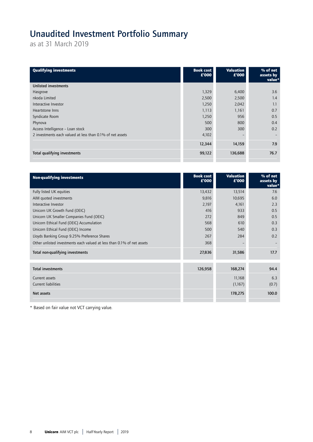# Unaudited Investment Portfolio Summary

as at 31 March 2019

| <b>Qualifying investments</b>                             | <b>Book cost</b><br>£'000 | <b>Valuation</b><br>£'000 | % of net<br>assets by<br>value* |
|-----------------------------------------------------------|---------------------------|---------------------------|---------------------------------|
| <b>Unlisted investments</b>                               |                           |                           |                                 |
| Hasgrove                                                  | 1,329                     | 6,400                     | 3.6                             |
| nkoda Limited                                             | 2,500                     | 2,500                     | 1.4                             |
| Interactive Investor                                      | 1,250                     | 2,042                     | 1.1                             |
| Heartstone Inns                                           | 1,113                     | 1,161                     | 0.7                             |
| Syndicate Room                                            | 1,250                     | 956                       | 0.5                             |
| Phynova                                                   | 500                       | 800                       | 0.4                             |
| Access Intelligence - Loan stock                          | 300                       | 300                       | 0.2                             |
| 2 investments each valued at less than 0.1% of net assets | 4,102                     |                           |                                 |
|                                                           | 12,344                    | 14,159                    | 7.9                             |
| Total qualifying investments                              | 99,122                    | 136,688                   | 76.7                            |

| <b>Non-qualifying investments</b>                                      | <b>Book cost</b><br>£'000 | <b>Valuation</b><br>£'000 | % of net<br>assets by<br>value* |
|------------------------------------------------------------------------|---------------------------|---------------------------|---------------------------------|
| Fully listed UK equities                                               | 13,432                    | 13,514                    | 7.6                             |
| AIM quoted investments                                                 | 9,816                     | 10,695                    | 6.0                             |
| Interactive Investor                                                   | 2,197                     | 4,161                     | 2.3                             |
| Unicorn UK Growth Fund (OEIC)                                          | 416                       | 933                       | 0.5                             |
| Unicorn UK Smaller Companies Fund (OEIC)                               | 272                       | 849                       | 0.5                             |
| Unicorn Ethical Fund (OEIC) Accumulation                               | 568                       | 610                       | 0.3                             |
| Unicorn Ethical Fund (OEIC) Income                                     | 500                       | 540                       | 0.3                             |
| Lloyds Banking Group 9.25% Preference Shares                           | 267                       | 284                       | 0.2                             |
| Other unlisted investments each valued at less than 0.1% of net assets | 368                       |                           |                                 |
| Total non-qualifying investments                                       | 27,836                    | 31,586                    | 17.7                            |
| <b>Total investments</b>                                               | 126,958                   | 168,274                   | 94.4                            |
| Current assets                                                         |                           | 11,168                    | 6.3                             |
| Current liabilities                                                    |                           | (1,167)                   | (0.7)                           |
| Net assets                                                             |                           | 178,275                   | 100.0                           |

\* Based on fair value not VCT carrying value.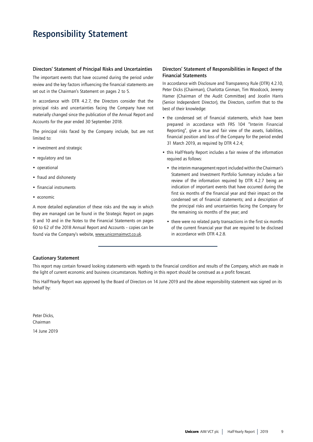# Responsibility Statement

## Directors' Statement of Principal Risks and Uncertainties

The important events that have occurred during the period under review and the key factors influencing the financial statements are set out in the Chairman's Statement on pages 2 to 5.

In accordance with DTR 4.2.7, the Directors consider that the principal risks and uncertainties facing the Company have not materially changed since the publication of the Annual Report and Accounts for the year ended 30 September 2018.

The principal risks faced by the Company include, but are not limited to:

- investment and strategic
- regulatory and tax
- operational
- fraud and dishonesty
- financial instruments
- economic

A more detailed explanation of these risks and the way in which they are managed can be found in the Strategic Report on pages 9 and 10 and in the Notes to the Financial Statements on pages 60 to 62 of the 2018 Annual Report and Accounts – copies can be found via the Company's website, www.unicornaimvct.co.uk.

## Directors' Statement of Responsibilities in Respect of the Financial Statements

In accordance with Disclosure and Transparency Rule (DTR) 4.2.10, Peter Dicks (Chairman), Charlotta Ginman, Tim Woodcock, Jeremy Hamer (Chairman of the Audit Committee) and Jocelin Harris (Senior Independent Director), the Directors, confirm that to the best of their knowledge:

- the condensed set of financial statements, which have been prepared in accordance with FRS 104 "Interim Financial Reporting", give a true and fair view of the assets, liabilities, financial position and loss of the Company for the period ended 31 March 2019, as required by DTR 4.2.4;
- this Half-Yearly Report includes a fair review of the information required as follows:
	- the interim management report included within the Chairman's Statement and Investment Portfolio Summary includes a fair review of the information required by DTR 4.2.7 being an indication of important events that have occurred during the first six months of the financial year and their impact on the condensed set of financial statements; and a description of the principal risks and uncertainties facing the Company for the remaining six months of the year; and
	- there were no related party transactions in the first six months of the current financial year that are required to be disclosed in accordance with DTR 4.2.8.

## Cautionary Statement

This report may contain forward looking statements with regards to the financial condition and results of the Company, which are made in the light of current economic and business circumstances. Nothing in this report should be construed as a profit forecast.

This Half-Yearly Report was approved by the Board of Directors on 14 June 2019 and the above responsibility statement was signed on its behalf by:

Peter Dicks, Chairman

14 June 2019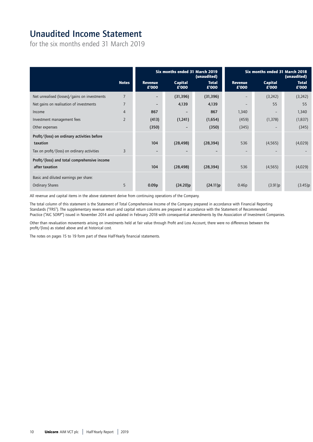# Unaudited Income Statement

for the six months ended 31 March 2019

|                                                                |                |                          | Six months ended 31 March 2019 | (unaudited)              |                          | Six months ended 31 March 2018 | (unaudited)              |
|----------------------------------------------------------------|----------------|--------------------------|--------------------------------|--------------------------|--------------------------|--------------------------------|--------------------------|
|                                                                | <b>Notes</b>   | <b>Revenue</b><br>£'000  | Capital<br>£'000               | <b>Total</b><br>£'000    | <b>Revenue</b><br>£'000  | Capital<br>£'000               | <b>Total</b><br>£'000    |
| Net unrealised (losses)/gains on investments                   | $\overline{7}$ | $\qquad \qquad -$        | (31, 396)                      | (31, 396)                |                          | (3, 242)                       | (3,242)                  |
| Net gains on realisation of investments                        | $\overline{7}$ | $\overline{\phantom{0}}$ | 4,139                          | 4,139                    |                          | 55                             | 55                       |
| Income                                                         | $\overline{4}$ | 867                      | $\qquad \qquad -$              | 867                      | 1,340                    | $\qquad \qquad -$              | 1,340                    |
| Investment management fees                                     | $\overline{2}$ | (413)                    | (1,241)                        | (1,654)                  | (459)                    | (1, 378)                       | (1, 837)                 |
| Other expenses                                                 |                | (350)                    | $\qquad \qquad -$              | (350)                    | (345)                    | $\overline{\phantom{a}}$       | (345)                    |
| Profit/(loss) on ordinary activities before                    |                |                          |                                |                          |                          |                                |                          |
| taxation                                                       |                | 104                      | (28, 498)                      | (28, 394)                | 536                      | (4, 565)                       | (4,029)                  |
| Tax on profit/(loss) on ordinary activities                    | 3              | $\overline{\phantom{0}}$ | $\qquad \qquad -$              | $\overline{\phantom{0}}$ | $\overline{\phantom{0}}$ | $\overline{\phantom{m}}$       | $\overline{\phantom{a}}$ |
| Profit/(loss) and total comprehensive income<br>after taxation |                | 104                      | (28, 498)                      | (28, 394)                | 536                      | (4, 565)                       | (4,029)                  |
| Basic and diluted earnings per share:                          |                |                          |                                |                          |                          |                                |                          |
| Ordinary Shares                                                | 5              | 0.09 <sub>p</sub>        | (24.20)p                       | (24.11)p                 | 0.46p                    | (3.91)p                        | (3.45)p                  |

All revenue and capital items in the above statement derive from continuing operations of the Company.

The total column of this statement is the Statement of Total Comprehensive Income of the Company prepared in accordance with Financial Reporting Standards ("FRS"). The supplementary revenue return and capital return columns are prepared in accordance with the Statement of Recommended Practice ("AIC SORP") issued in November 2014 and updated in February 2018 with consequential amendments by the Association of Investment Companies.

Other than revaluation movements arising on investments held at fair value through Profit and Loss Account, there were no differences between the profit/(loss) as stated above and at historical cost.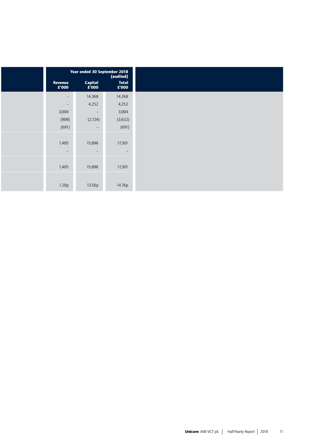|                  | Year ended 30 September 2018             | (audited)             |
|------------------|------------------------------------------|-----------------------|
| Revenue<br>£'000 | Capital<br>$\mathbf{E}^{\mathsf{T}}$ 000 | <b>Total</b><br>£'000 |
| $\sim$           | 14,368                                   | 14,368                |
| $\sim$           | 4,252                                    | 4,252                 |
| 3,004            | $\sim$                                   | 3,004                 |
| (908)            | (2,724)                                  | (3,632)               |
| (691)            | $\sim$                                   | (691)                 |
| 1,405<br>$\sim$  | 15,896<br>$\sim$                         | 17,301<br>$\sim$      |
| 1,405            | 15,896                                   | 17,301                |
| 1.20p            | 13.56p                                   | 14.76p                |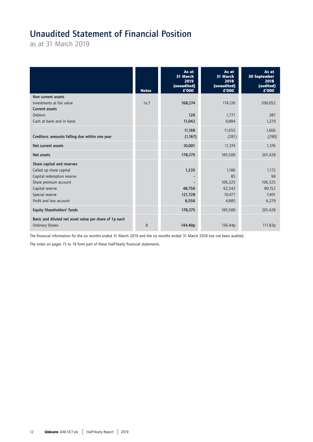# Unaudited Statement of Financial Position

as at 31 March 2019

|                                                        | <b>Notes</b> | As at<br>31 March<br>2019<br>(unaudited)<br>£'000 | As at<br>31 March<br>2018<br>(unaudited)<br>£'000 | As at<br>30 September<br>2018<br>(audited)<br>£'000 |
|--------------------------------------------------------|--------------|---------------------------------------------------|---------------------------------------------------|-----------------------------------------------------|
| Non current assets                                     |              |                                                   |                                                   |                                                     |
| Investments at fair value                              | 1e,7         | 168,274                                           | 174,126                                           | 200,052                                             |
| <b>Current assets</b>                                  |              |                                                   |                                                   |                                                     |
| <b>Debtors</b>                                         |              | 126                                               | 1,771                                             | 387                                                 |
| Cash at bank and in hand                               |              | 11,042                                            | 9,884                                             | 1,279                                               |
|                                                        |              | 11,168                                            | 11,655                                            | 1,666                                               |
| Creditors: amounts falling due within one year         |              | (1,167)                                           | (281)                                             | (290)                                               |
| Net current assets                                     |              | 10,001                                            | 11,374                                            | 1,376                                               |
| Net assets                                             |              | 178,275                                           | 185,500                                           | 201,428                                             |
| Share capital and reserves                             |              |                                                   |                                                   |                                                     |
| Called up share capital                                |              | 1,235                                             | 1,186                                             | 1,172                                               |
| Capital redemption reserve                             |              |                                                   | 85                                                | 99                                                  |
| Share premium account                                  |              |                                                   | 106,325                                           | 106,325                                             |
| Capital reserve                                        |              | 48,756                                            | 62,542                                            | 80,152                                              |
| Special reserve                                        |              | 121,728                                           | 10,477                                            | 7,401                                               |
| Profit and loss account                                |              | 6,556                                             | 4,885                                             | 6,279                                               |
| <b>Equity Shareholders' funds</b>                      |              | 178,275                                           | 185,500                                           | 201,428                                             |
| Basic and diluted net asset value per share of 1p each |              |                                                   |                                                   |                                                     |
| Ordinary Shares                                        | 8            | 144.40p                                           | 156.44p                                           | 171.83p                                             |

The financial information for the six months ended 31 March 2019 and the six months ended 31 March 2018 has not been audited.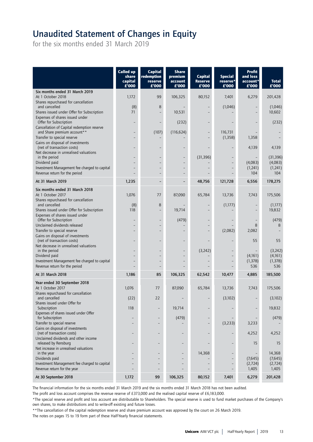# Unaudited Statement of Changes in Equity

for the six months ended 31 March 2019

|                                                                                                         | <b>Called up</b><br>share<br>capital<br>£'000 | <b>Capital</b><br>redemption<br>reserve<br>£'000 | <b>Share</b><br>premium<br>account<br>£'000 | <b>Capital</b><br><b>Reserve</b><br>£'000 | <b>Special</b><br>reserve*<br>£'000 | <b>Profit</b><br>and loss<br>account*<br>£'000 | <b>Total</b><br>£'000 |
|---------------------------------------------------------------------------------------------------------|-----------------------------------------------|--------------------------------------------------|---------------------------------------------|-------------------------------------------|-------------------------------------|------------------------------------------------|-----------------------|
| Six months ended 31 March 2019                                                                          |                                               |                                                  |                                             |                                           |                                     |                                                |                       |
| At 1 October 2018<br>Shares repurchased for cancellation                                                | 1,172                                         | 99                                               | 106,325                                     | 80,152                                    | 7,401                               | 6,279                                          | 201,428               |
| and cancelled                                                                                           | (8)                                           | 8                                                |                                             |                                           | (1,046)                             |                                                | (1,046)               |
| Shares issued under Offer for Subscription<br>Expenses of shares issued under                           | 71                                            |                                                  | 10,531                                      |                                           |                                     |                                                | 10,602                |
| Offer for Subscription<br>Cancellation of Capital redemption reserve                                    |                                               |                                                  | (232)                                       |                                           |                                     |                                                | (232)                 |
| and Share premium account**                                                                             |                                               | (107)                                            | (116, 624)                                  | $\qquad \qquad -$                         | 116,731                             |                                                |                       |
| Transfer to special reserve                                                                             |                                               |                                                  |                                             |                                           | (1, 358)                            | 1,358                                          |                       |
| Gains on disposal of investments<br>(net of transaction costs)                                          |                                               |                                                  |                                             |                                           |                                     | 4,139                                          | 4,139                 |
| Net decrease in unrealised valuations                                                                   |                                               |                                                  |                                             |                                           |                                     |                                                |                       |
| in the period<br>Dividend paid                                                                          |                                               |                                                  |                                             | (31, 396)                                 |                                     | (4,083)                                        | (31, 396)<br>(4,083)  |
| Investment Management fee charged to capital                                                            |                                               |                                                  |                                             |                                           |                                     | (1,241)                                        | (1, 241)              |
| Revenue return for the period                                                                           |                                               | $\overline{\phantom{0}}$                         |                                             |                                           | $\overline{a}$                      | 104                                            | 104                   |
| At 31 March 2019                                                                                        | 1,235                                         |                                                  |                                             | 48,756                                    | 121,728                             | 6,556                                          | 178,275               |
| Six months ended 31 March 2018<br>At 1 October 2017                                                     | 1,076                                         | 77                                               | 87,090                                      | 65,784                                    | 13,736                              | 7,743                                          | 175,506               |
| Shares repurchased for cancellation<br>and cancelled                                                    | (8)                                           | 8                                                |                                             |                                           | (1,177)                             |                                                | (1, 177)              |
| Shares issued under Offer for Subscription                                                              | 118                                           |                                                  | 19,714                                      |                                           |                                     |                                                | 19,832                |
| Expenses of shares issued under<br>Offer for Subscription                                               |                                               |                                                  | (479)                                       |                                           |                                     |                                                | (479)                 |
| Unclaimed dividends released                                                                            |                                               |                                                  |                                             |                                           |                                     | 8                                              | 8                     |
| Transfer to special reserve                                                                             |                                               |                                                  |                                             | $\overline{\phantom{a}}$                  | (2,082)                             | 2,082                                          |                       |
| Gains on disposal of investments<br>(net of transaction costs)<br>Net decrease in unrealised valuations |                                               |                                                  |                                             |                                           |                                     | 55                                             | 55                    |
| in the period                                                                                           |                                               |                                                  |                                             | (3, 242)                                  |                                     |                                                | (3, 242)              |
| Dividend paid                                                                                           |                                               |                                                  |                                             |                                           |                                     | (4,161)                                        | (4,161)               |
| Investment Management fee charged to capital<br>Revenue return for the period                           |                                               |                                                  |                                             |                                           |                                     | (1, 378)<br>536                                | (1, 378)<br>536       |
| At 31 March 2018                                                                                        | 1,186                                         | 85                                               | 106,325                                     | 62,542                                    | 10,477                              | 4,885                                          | 185,500               |
| Year ended 30 September 2018                                                                            |                                               |                                                  |                                             |                                           |                                     |                                                |                       |
| At 1 October 2017                                                                                       | 1,076                                         | 77                                               | 87,090                                      | 65,784                                    | 13,736                              | 7,743                                          | 175,506               |
| Shares repurchased for cancellation<br>and cancelled<br>Shares issued under Offer for                   | (22)                                          | 22                                               |                                             |                                           | (3,102)                             |                                                | (3,102)               |
| Subscription<br>Expenses of shares issued under Offer                                                   | 118                                           |                                                  | 19,714                                      |                                           |                                     |                                                | 19,832                |
| for Subscription                                                                                        |                                               |                                                  | (479)                                       | $\qquad \qquad -$                         |                                     |                                                | (479)                 |
| Transfer to special reserve                                                                             |                                               |                                                  |                                             |                                           | (3, 233)                            | 3,233                                          |                       |
| Gains on disposal of investments<br>(net of transaction costs)<br>Unclaimed dividends and other income  |                                               |                                                  |                                             |                                           |                                     | 4,252                                          | 4,252                 |
| released by Rensburg<br>Net increase in unrealised valuations                                           |                                               |                                                  |                                             |                                           |                                     | 15                                             | 15                    |
| in the year                                                                                             |                                               |                                                  |                                             | 14,368                                    |                                     |                                                | 14,368                |
| Dividends paid                                                                                          |                                               |                                                  |                                             |                                           |                                     | (7,645)                                        | (7,645)               |
| Investment Management fee charged to capital<br>Revenue return for the year                             |                                               |                                                  |                                             |                                           |                                     | (2,724)<br>1,405                               | (2,724)<br>1,405      |
| At 30 September 2018                                                                                    | 1,172                                         | 99                                               | 106,325                                     | 80,152                                    | 7,401                               | 6,279                                          | 201,428               |

The financial information for the six months ended 31 March 2019 and the six months ended 31 March 2018 has not been audited.

The profit and loss account comprises the revenue reserve of £373,000 and the realised capital reserve of £6,183,000.

\*The special reserve and profit and loss account are distributable to Shareholders. The special reserve is used to fund market purchases of the Company's own shares, to make distributions and to write-off existing and future losses.

\*\*The cancellation of the capital redemption reserve and share premium account was approved by the court on 26 March 2019.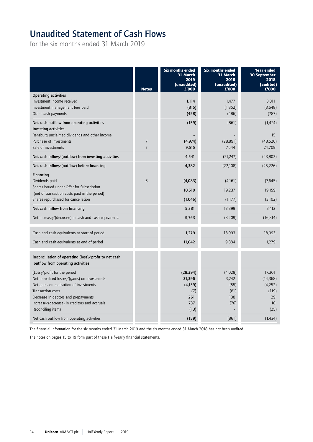# Unaudited Statement of Cash Flows

for the six months ended 31 March 2019

|                                                                                                                                                                                                                                                                  | <b>Notes</b>                     | <b>Six months ended</b><br>31 March<br>2019<br>(unaudited)<br>£'000 | <b>Six months ended</b><br>31 March<br>2018<br>(unaudited)<br>£'000 | <b>Year ended</b><br><b>30 September</b><br>2018<br>(audited)<br>£'000 |
|------------------------------------------------------------------------------------------------------------------------------------------------------------------------------------------------------------------------------------------------------------------|----------------------------------|---------------------------------------------------------------------|---------------------------------------------------------------------|------------------------------------------------------------------------|
| <b>Operating activities</b>                                                                                                                                                                                                                                      |                                  |                                                                     |                                                                     |                                                                        |
| Investment income received                                                                                                                                                                                                                                       |                                  | 1,114                                                               | 1,477                                                               | 3.011                                                                  |
| Investment management fees paid<br>Other cash payments                                                                                                                                                                                                           |                                  | (815)<br>(458)                                                      | (1,852)<br>(486)                                                    | (3,648)<br>(787)                                                       |
| Net cash outflow from operating activities<br>Investing activities                                                                                                                                                                                               |                                  | (159)                                                               | (861)                                                               | (1, 424)                                                               |
| Rensburg unclaimed dividends and other income                                                                                                                                                                                                                    |                                  |                                                                     |                                                                     | 15                                                                     |
| Purchase of investments<br>Sale of investments                                                                                                                                                                                                                   | $\overline{7}$<br>$\overline{7}$ | (4, 974)<br>9,515                                                   | (28, 891)<br>7,644                                                  | (48, 526)<br>24,709                                                    |
|                                                                                                                                                                                                                                                                  |                                  |                                                                     |                                                                     |                                                                        |
| Net cash inflow/(outflow) from investing activities                                                                                                                                                                                                              |                                  | 4,541                                                               | (21, 247)                                                           | (23,802)                                                               |
| Net cash inflow/(outflow) before financing                                                                                                                                                                                                                       |                                  | 4,382                                                               | (22,108)                                                            | (25, 226)                                                              |
| Financing                                                                                                                                                                                                                                                        |                                  |                                                                     |                                                                     |                                                                        |
| Dividends paid<br>Shares issued under Offer for Subscription                                                                                                                                                                                                     | 6                                | (4,083)                                                             | (4,161)                                                             | (7,645)                                                                |
| (net of transaction costs paid in the period)                                                                                                                                                                                                                    |                                  | 10,510                                                              | 19,237                                                              | 19,159                                                                 |
| Shares repurchased for cancellation                                                                                                                                                                                                                              |                                  | (1,046)                                                             | (1,177)                                                             | (3,102)                                                                |
| Net cash inflow from financing                                                                                                                                                                                                                                   |                                  | 5,381                                                               | 13,899                                                              | 8,412                                                                  |
| Net increase/(decrease) in cash and cash equivalents                                                                                                                                                                                                             |                                  | 9,763                                                               | (8,209)                                                             | (16, 814)                                                              |
| Cash and cash equivalents at start of period                                                                                                                                                                                                                     |                                  | 1,279                                                               | 18,093                                                              | 18,093                                                                 |
| Cash and cash equivalents at end of period                                                                                                                                                                                                                       |                                  | 11,042                                                              | 9,884                                                               | 1,279                                                                  |
| Reconciliation of operating (loss)/profit to net cash<br>outflow from operating activities                                                                                                                                                                       |                                  |                                                                     |                                                                     |                                                                        |
| (Loss)/profit for the period<br>Net unrealised losses/(gains) on investments<br>Net gains on realisation of investments<br><b>Transaction costs</b><br>Decrease in debtors and prepayments<br>Increase/(decrease) in creditors and accruals<br>Reconciling items |                                  | (28, 394)<br>31,396<br>(4, 139)<br>(7)<br>261<br>737<br>(13)        | (4,029)<br>3,242<br>(55)<br>(81)<br>138<br>(76)                     | 17,301<br>(14, 368)<br>(4, 252)<br>(119)<br>29<br>10<br>(25)           |
| Net cash outflow from operating activities                                                                                                                                                                                                                       |                                  | (159)                                                               | (861)                                                               | (1, 424)                                                               |
|                                                                                                                                                                                                                                                                  |                                  |                                                                     |                                                                     |                                                                        |

The financial information for the six months ended 31 March 2019 and the six months ended 31 March 2018 has not been audited.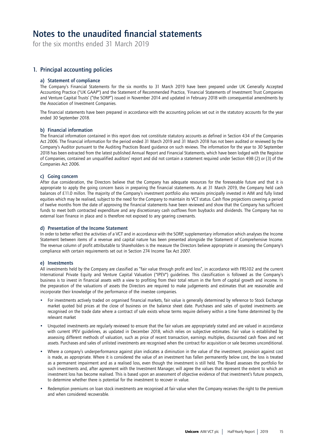## Notes to the unaudited financial statements

for the six months ended 31 March 2019

## 1. Principal accounting policies

## a) Statement of compliance

The Company's Financial Statements for the six months to 31 March 2019 have been prepared under UK Generally Accepted Accounting Practice ("UK GAAP") and the Statement of Recommended Practice, 'Financial Statements of Investment Trust Companies and Venture Capital Trusts' ("the SORP") issued in November 2014 and updated in February 2018 with consequential amendments by the Association of Investment Companies.

The financial statements have been prepared in accordance with the accounting policies set out in the statutory accounts for the year ended 30 September 2018.

## b) Financial information

The financial information contained in this report does not constitute statutory accounts as defined in Section 434 of the Companies Act 2006. The financial information for the period ended 31 March 2019 and 31 March 2018 has not been audited or reviewed by the Company's Auditor pursuant to the Auditing Practices Board guidance on such reviews. The information for the year to 30 September 2018 has been extracted from the latest published Annual Report and Financial Statements, which have been lodged with the Registrar of Companies, contained an unqualified auditors' report and did not contain a statement required under Section 498 (2) or (3) of the Companies Act 2006.

## c) Going concern

After due consideration, the Directors believe that the Company has adequate resources for the foreseeable future and that it is appropriate to apply the going concern basis in preparing the financial statements. As at 31 March 2019, the Company held cash balances of £11.0 millon. The majority of the Company's investment portfolio also remains principally invested in AIM and fully listed equities which may be realised, subject to the need for the Company to maintain its VCT status. Cash flow projections covering a period of twelve months from the date of approving the financial statements have been reviewed and show that the Company has sufficient funds to meet both contracted expenditure and any discretionary cash outflows from buybacks and dividends. The Company has no external loan finance in place and is therefore not exposed to any gearing covenants.

## d) Presentation of the Income Statement

In order to better reflect the activities of a VCT and in accordance with the SORP, supplementary information which analyses the Income Statement between items of a revenue and capital nature has been presented alongside the Statement of Comprehensive Income. The revenue column of profit attributable to Shareholders is the measure the Directors believe appropriate in assessing the Company's compliance with certain requirements set out in Section 274 Income Tax Act 2007.

## e) Investments

All investments held by the Company are classified as "fair value through profit and loss", in accordance with FRS102 and the current International Private Equity and Venture Capital Valuation ("IPEV") guidelines. This classification is followed as the Company's business is to invest in financial assets with a view to profiting from their total return in the form of capital growth and income. In the preparation of the valuations of assets the Directors are required to make judgements and estimates that are reasonable and incorporate their knowledge of the performance of the investee companies.

- For investments actively traded on organised financial markets, fair value is generally determined by reference to Stock Exchange market quoted bid prices at the close of business on the balance sheet date. Purchases and sales of quoted investments are recognised on the trade date where a contract of sale exists whose terms require delivery within a time frame determined by the relevant market
- Unquoted investments are regularly reviewed to ensure that the fair values are appropriately stated and are valued in accordance with current IPEV guidelines, as updated in December 2018, which relies on subjective estimates. Fair value is established by assessing different methods of valuation, such as price of recent transaction, earnings multiples, discounted cash flows and net assets. Purchases and sales of unlisted investments are recognised when the contract for acquisition or sale becomes unconditional.
- Where a company's underperformance against plan indicates a diminution in the value of the investment, provision against cost is made, as appropriate. Where it is considered the value of an investment has fallen permanently below cost, the loss is treated as a permanent impairment and as a realised loss, even though the investment is still held. The Board assesses the portfolio for such investments and, after agreement with the Investment Manager, will agree the values that represent the extent to which an investment loss has become realised. This is based upon an assessment of objective evidence of that investment's future prospects, to determine whether there is potential for the investment to recover in value.
- Redemption premiums on loan stock investments are recognised at fair value when the Company receives the right to the premium and when considered recoverable.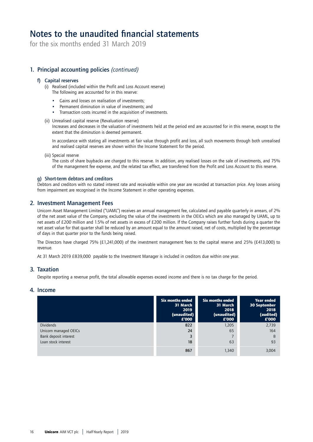# Notes to the unaudited financial statements

for the six months ended 31 March 2019

## 1. Principal accounting policies *(continued)*

## f) Capital reserves

(i) Realised (included within the Profit and Loss Account reserve) The following are accounted for in this reserve:

- Gains and losses on realisation of investments;
- Permanent diminution in value of investments; and
- Transaction costs incurred in the acquisition of investments.

## (ii) Unrealised capital reserve (Revaluation reserve)

Increases and decreases in the valuation of investments held at the period end are accounted for in this reserve, except to the extent that the diminution is deemed permanent.

In accordance with stating all investments at fair value through profit and loss, all such movements through both unrealised and realised capital reserves are shown within the Income Statement for the period.

(iii) Special reserve

The costs of share buybacks are charged to this reserve. In addition, any realised losses on the sale of investments, and 75% of the management fee expense, and the related tax effect, are transferred from the Profit and Loss Account to this reserve.

## g) Short-term debtors and creditors

Debtors and creditors with no stated interest rate and receivable within one year are recorded at transaction price. Any losses arising from impairment are recognised in the Income Statement in other operating expenses.

## 2. Investment Management Fees

Unicorn Asset Management Limited ("UAML") receives an annual management fee, calculated and payable quarterly in arrears, of 2% of the net asset value of the Company, excluding the value of the investments in the OEICs which are also managed by UAML, up to net assets of £200 million and 1.5% of net assets in excess of £200 million. If the Company raises further funds during a quarter the net asset value for that quarter shall be reduced by an amount equal to the amount raised, net of costs, multiplied by the percentage of days in that quarter prior to the funds being raised.

The Directors have charged 75% (£1,241,000) of the investment management fees to the capital reserve and 25% (£413,000) to revenue.

At 31 March 2019 £839,000 payable to the Investment Manager is included in creditors due within one year.

## 3. Taxation

Despite reporting a revenue profit, the total allowable expenses exceed income and there is no tax charge for the period.

## 4. Income

|                       | <b>Six months ended</b><br>31 March<br>2019<br>(unaudited)<br>£'000 | Six months ended<br>31 March<br>2018<br>(unaudited)<br>£'000 | <b>Year ended</b><br>30 September<br>2018<br>(audited)<br>£'000 |
|-----------------------|---------------------------------------------------------------------|--------------------------------------------------------------|-----------------------------------------------------------------|
| <b>Dividends</b>      | 822                                                                 | 1,205                                                        | 2,739                                                           |
| Unicorn managed OEICs | 24                                                                  | 65                                                           | 164                                                             |
| Bank deposit interest |                                                                     |                                                              | 8                                                               |
| Loan stock interest   | 18                                                                  | 63                                                           | 93                                                              |
|                       | 867                                                                 | 1,340                                                        | 3.004                                                           |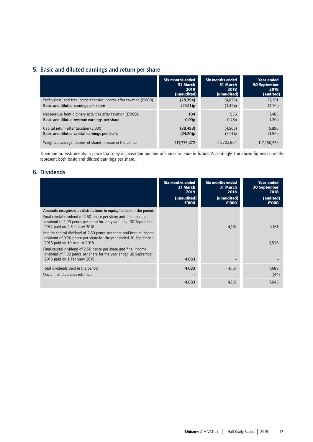## 5. Basic and diluted earnings and return per share

|                                                                         | <b>Six months ended</b> | Six months ended  | <b>Year ended</b>   |
|-------------------------------------------------------------------------|-------------------------|-------------------|---------------------|
|                                                                         | 31 March                | 31 March          | <b>30 September</b> |
|                                                                         | 2019                    | 2018              | 2018                |
|                                                                         | (unaudited)             | (unaudited)       | (audited)           |
| Profit/(loss) and total comprehensive income after taxation ( $E'$ 000) | (28, 394)               | (4,029)           | 17,301              |
| Basic and diluted earnings per share                                    | $(24.11)$ p             | (3.45)p           | 14.76p              |
| Net revenue from ordinary activities after taxation ( $E'$ 000)         | 104                     | 536               | 1,405               |
| Basic and diluted revenue earnings per share                            | 0.09 <sub>p</sub>       | 0.46 <sub>p</sub> | 1.20 <sub>p</sub>   |
| Capital return after taxation (£'000)                                   | (28, 498)               | (4, 565)          | 15,896              |
| Basic and diluted capital earnings per share                            | (24.20)p                | (3.91)p           | 13.56p              |
| Weighted average number of shares in issue in the period                | 117,775,472             | 116,703,864       | 117.250.279         |

There are no instruments in place that may increase the number of shares in issue in future. Accordingly, the above figures currently represent both basic and diluted earnings per share.

## 6. Dividends

|                                                                                                                                                                        | <b>Six months ended</b><br>31 March<br>2019<br>(unaudited)<br>E'000 | Six months ended<br>31 March<br>2018<br>(unaudited)<br>£'000 | <b>Year ended</b><br><b>30 September</b><br>2018<br>(audited)<br>£'000 |
|------------------------------------------------------------------------------------------------------------------------------------------------------------------------|---------------------------------------------------------------------|--------------------------------------------------------------|------------------------------------------------------------------------|
| Amounts recognised as distributions to equity holders in the period:                                                                                                   |                                                                     |                                                              |                                                                        |
| Final capital dividend of 2.50 pence per share and final income<br>dividend of 1.00 pence per share for the year ended 30 September<br>2017 paid on 2 February 2018    |                                                                     | 4,161                                                        | 4,161                                                                  |
| Interim capital dividend of 2.80 pence per share and interim income<br>dividend of 0.20 pence per share for the year ended 30 September<br>2018 paid on 10 August 2018 |                                                                     |                                                              | 3,528                                                                  |
| Final capital dividend of 2.50 pence per share and final income<br>dividend of 1.00 pence per share for the year ended 30 September<br>2018 paid on 1 February 2019    | 4,083                                                               |                                                              |                                                                        |
| Total dividends paid in the period<br>Unclaimed dividends returned                                                                                                     | 4,083                                                               | 4,161                                                        | 7,689<br>(44)                                                          |
|                                                                                                                                                                        | 4,083                                                               | 4,161                                                        | 7,645                                                                  |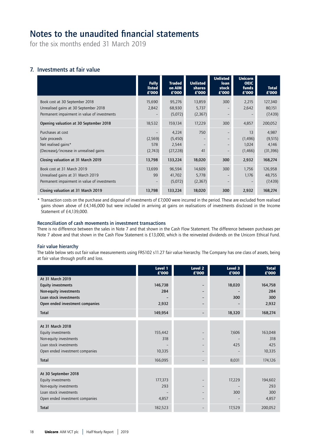# Notes to the unaudited financial statements

for the six months ended 31 March 2019

## 7. Investments at fair value

|                                              | <b>Fully</b><br><b>listed</b><br>£'000 | <b>Traded</b><br>on AIM<br>£'000 | <b>Unlisted</b><br>shares<br>£'000 | <b>Unlisted</b><br><b>loan</b><br>stock<br>£'000 | <b>Unicorn</b><br><b>OEIC</b><br>funds<br>£'000 | <b>Total</b><br>£'000 |
|----------------------------------------------|----------------------------------------|----------------------------------|------------------------------------|--------------------------------------------------|-------------------------------------------------|-----------------------|
| Book cost at 30 September 2018               | 15,690                                 | 95,276                           | 13,859                             | 300                                              | 2,215                                           | 127,340               |
| Unrealised gains at 30 September 2018        | 2,842                                  | 68,930                           | 5,737                              |                                                  | 2,642                                           | 80,151                |
| Permanent impairment in value of investments |                                        | (5,072)                          | (2,367)                            |                                                  |                                                 | (7, 439)              |
| Opening valuation at 30 September 2018       | 18,532                                 | 159,134                          | 17,229                             | 300                                              | 4,857                                           | 200,052               |
| Purchases at cost                            |                                        | 4,224                            | 750                                |                                                  | 13                                              | 4,987                 |
| Sale proceeds                                | (2, 569)                               | (5,450)                          |                                    |                                                  | (1, 496)                                        | (9, 515)              |
| Net realised gains*                          | 578                                    | 2,544                            |                                    |                                                  | 1,024                                           | 4,146                 |
| (Decrease)/increase in unrealised gains      | (2,743)                                | (27, 228)                        | 41                                 |                                                  | (1, 466)                                        | (31, 396)             |
| Closing valuation at 31 March 2019           | 13,798                                 | 133,224                          | 18,020                             | 300                                              | 2,932                                           | 168,274               |
| Book cost at 31 March 2019                   | 13,699                                 | 96,594                           | 14,609                             | 300                                              | 1,756                                           | 126,958               |
| Unrealised gains at 31 March 2019            | 99                                     | 41,702                           | 5,778                              |                                                  | 1,176                                           | 48,755                |
| Permanent impairment in value of investments |                                        | (5,072)                          | (2,367)                            |                                                  |                                                 | (7, 439)              |
| Closing valuation at 31 March 2019           | 13,798                                 | 133,224                          | 18,020                             | 300                                              | 2,932                                           | 168,274               |

\* Transaction costs on the purchase and disposal of investments of £7,000 were incurred in the period. These are excluded from realised gains shown above of £4,146,000 but were included in arriving at gains on realisations of investments disclosed in the Income Statement of £4,139,000.

## Reconciliation of cash movements in investment transactions

There is no difference between the sales in Note 7 and that shown in the Cash Flow Statement. The difference between purchases per Note 7 above and that shown in the Cash Flow Statement is £13,000, which is the reinvested dividends on the Unicorn Ethical Fund.

## Fair value hierarchy

The table below sets out fair value measurements using FRS102 s11.27 fair value hierarchy. The Company has one class of assets, being at fair value through profit and loss.

|                                                  | Level 1<br>£'000 | Level <sub>2</sub><br>£'000 | Level 3<br>£'000 | <b>Total</b><br>£'000 |
|--------------------------------------------------|------------------|-----------------------------|------------------|-----------------------|
| At 31 March 2019<br><b>Equity investments</b>    | 146,738          |                             | 18,020           | 164,758               |
| Non-equity investments<br>Loan stock investments | 284              |                             | 300              | 284<br>300            |
| Open ended investment companies                  | 2,932            | -                           |                  | 2,932                 |
| <b>Total</b>                                     | 149,954          |                             | 18,320           | 168,274               |
| At 31 March 2018                                 |                  |                             |                  |                       |
| Equity investments                               | 155,442          |                             | 7,606            | 163,048               |
| Non-equity investments                           | 318              |                             |                  | 318                   |
| Loan stock investments                           |                  | -                           | 425              | 425                   |
| Open ended investment companies                  | 10,335           |                             |                  | 10,335                |
| <b>Total</b>                                     | 166,095          |                             | 8,031            | 174,126               |
| At 30 September 2018                             |                  |                             |                  |                       |
| Equity investments                               | 177,373          |                             | 17,229           | 194,602               |
| Non-equity investments                           | 293              |                             |                  | 293                   |
| Loan stock investments                           |                  | -                           | 300              | 300                   |
| Open ended investment companies                  | 4,857            | -                           |                  | 4,857                 |
| <b>Total</b>                                     | 182,523          |                             | 17,529           | 200,052               |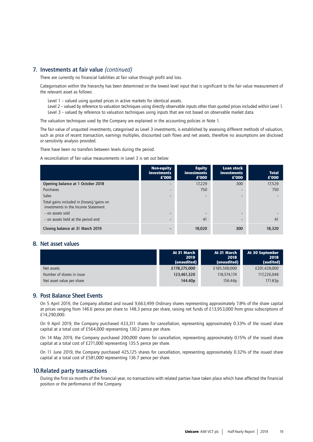## 7. Investments at fair value *(continued)*

There are currently no financial liabilities at fair value through profit and loss.

Categorisation within the hierarchy has been determined on the lowest level input that is significant to the fair value measurement of the relevant asset as follows:

- Level 1 valued using quoted prices in active markets for identical assets.
- Level 2 valued by reference to valuation techniques using directly observable inputs other than quoted prices included within Level 1. Level 3 – valued by reference to valuation techniques using inputs that are not based on observable market data.

The valuation techniques used by the Company are explained in the accounting policies in Note 1.

The fair value of unquoted investments, categorised as Level 3 investments, is established by assessing different methods of valuation, such as price of recent transaction, earnings multiples, discounted cash flows and net assets, therefore no assumptions are disclosed or sensitivity analysis provided.

There have been no transfers between levels during the period.

A reconciliation of fair value measurements in Level 3 is set out below:

|                                                                                  | Non-equity<br>investments<br>£'000 | <b>Equity</b><br>investments<br>£'000 | Loan stock<br>investments<br>E'000 | <b>Total</b><br>£'000 |
|----------------------------------------------------------------------------------|------------------------------------|---------------------------------------|------------------------------------|-----------------------|
| Opening balance at 1 October 2018                                                | -                                  | 17,229                                | 300                                | 17,529                |
| Purchases                                                                        |                                    | 750                                   | -                                  | 750                   |
| <b>Sales</b>                                                                     |                                    | $\overline{\phantom{0}}$              | -                                  |                       |
| Total gains included in (losses)/gains on<br>investments in the Income Statement |                                    |                                       |                                    |                       |
| - on assets sold                                                                 |                                    |                                       | -                                  |                       |
| - on assets held at the period end                                               |                                    | 41                                    |                                    | 41                    |
| Closing balance at 31 March 2019                                                 |                                    | 18,020                                | 300                                | 18,320                |

## 8. Net asset values

|                           | At 31 March<br>2019<br>(unaudited) | At 31 March<br>2018<br>(unaudited) | At 30 September<br>2018<br>(audited) |
|---------------------------|------------------------------------|------------------------------------|--------------------------------------|
| Net assets                | £178,275,000                       | £185,500,000                       | £201,428,000                         |
| Number of shares in issue | 123,461,320                        | 118,574,174                        | 117,226,048                          |
| Net asset value per share | 144.40 <sub>p</sub>                | 156.44p                            | 171.83p                              |

## 9. Post Balance Sheet Events

On 5 April 2019, the Company allotted and issued 9,663,499 Ordinary shares representing approximately 7.8% of the share capital at prices ranging from 146.6 pence per share to 148.3 pence per share, raising net funds of £13,953,000 from gross subscriptions of £14,290,000.

On 9 April 2019, the Company purchased 433,311 shares for cancellation, representing approximately 0.33% of the issued share capital at a total cost of £564,000 representing 130.2 pence per share.

On 14 May 2019, the Company purchased 200,000 shares for cancellation, representing approximately 0.15% of the issued share capital at a total cost of £271,000 representing 135.5 pence per share.

On 11 June 2019, the Company purchased 425,125 shares for cancellation, representing approximately 0.32% of the issued share capital at a total cost of £581,000 representing 136.7 pence per share.

## 10. Related party transactions

During the first six months of the financial year, no transactions with related parties have taken place which have affected the financial position or the performance of the Company.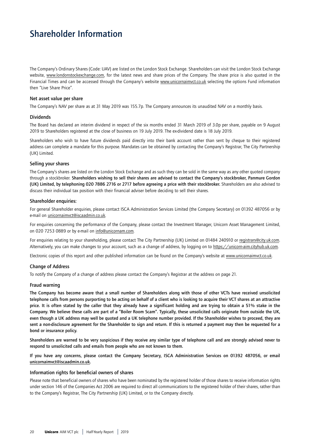# Shareholder Information

The Company's Ordinary Shares (Code: UAV) are listed on the London Stock Exchange. Shareholders can visit the London Stock Exchange website, www.londonstockexchange.com, for the latest news and share prices of the Company. The share price is also quoted in the Financial Times and can be accessed through the Company's website www.unicornaimvct.co.uk selecting the options Fund information then "Live Share Price".

## Net asset value per share

The Company's NAV per share as at 31 May 2019 was 155.7p. The Company announces its unaudited NAV on a monthly basis.

## Dividends

The Board has declared an interim dividend in respect of the six months ended 31 March 2019 of 3.0p per share, payable on 9 August 2019 to Shareholders registered at the close of business on 19 July 2019. The ex-dividend date is 18 July 2019.

Shareholders who wish to have future dividends paid directly into their bank account rather than sent by cheque to their registered address can complete a mandate for this purpose. Mandates can be obtained by contacting the Company's Registrar, The City Partnership (UK) Limited.

## Selling your shares

The Company's shares are listed on the London Stock Exchange and as such they can be sold in the same way as any other quoted company through a stockbroker. Shareholders wishing to sell their shares are advised to contact the Company's stockbroker, Panmure Gordon (UK) Limited, by telephoning 020 7886 2716 or 2717 before agreeing a price with their stockbroker. Shareholders are also advised to discuss their individual tax position with their financial adviser before deciding to sell their shares.

## Shareholder enquiries:

For general Shareholder enquiries, please contact ISCA Administration Services Limited (the Company Secretary) on 01392 487056 or by e-mail on unicornaimvct@iscaadmin.co.uk.

For enquiries concerning the performance of the Company, please contact the Investment Manager, Unicorn Asset Management Limited, on 020 7253 0889 or by e-mail on info@unicornam.com.

For enquiries relating to your shareholding, please contact The City Partnership (UK) Limited on 01484 240910 or registrars@city.uk.com. Alternatively, you can make changes to your account, such as a change of address, by logging on to https://unicorn-aim.cityhub.uk.com.

Electronic copies of this report and other published information can be found on the Company's website at www.unicornaimvct.co.uk.

## Change of Address

To notify the Company of a change of address please contact the Company's Registrar at the address on page 21.

## Fraud warning

The Company has become aware that a small number of Shareholders along with those of other VCTs have received unsolicited telephone calls from persons purporting to be acting on behalf of a client who is looking to acquire their VCT shares at an attractive price. It is often stated by the caller that they already have a significant holding and are trying to obtain a 51% stake in the Company. We believe these calls are part of a "Boiler Room Scam". Typically, these unsolicited calls originate from outside the UK, even though a UK address may well be quoted and a UK telephone number provided. If the Shareholder wishes to proceed, they are sent a non-disclosure agreement for the Shareholder to sign and return. If this is returned a payment may then be requested for a bond or insurance policy.

Shareholders are warned to be very suspicious if they receive any similar type of telephone call and are strongly advised never to respond to unsolicited calls and emails from people who are not known to them.

If you have any concerns, please contact the Company Secretary, ISCA Administration Services on 01392 487056, or email unicornaimvct@iscaadmin.co.uk.

## Information rights for beneficial owners of shares

Please note that beneficial owners of shares who have been nominated by the registered holder of those shares to receive information rights under section 146 of the Companies Act 2006 are required to direct all communications to the registered holder of their shares, rather than to the Company's Registrar, The City Partnership (UK) Limited, or to the Company directly.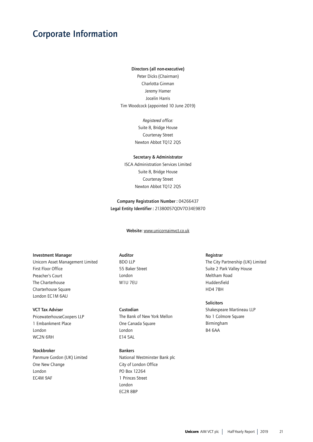# Corporate Information

#### Directors (all non-executive)

Peter Dicks (Chairman) Charlotta Ginman Jeremy Hamer Jocelin Harris Tim Woodcock (appointed 10 June 2019)

> *Registered office:* Suite 8, Bridge House Courtenay Street Newton Abbot TQ12 2QS

#### Secretary & Administrator

ISCA Administration Services Limited Suite 8, Bridge House Courtenay Street Newton Abbot TQ12 2QS

Company Registration Number : 04266437 Legal Entity Identifier : 21380057QDV7D34E9870

Website: www.unicornaimvct.co.uk

## Investment Manager

Unicorn Asset Management Limited First Floor Office Preacher's Court The Charterhouse Charterhouse Square London EC1M 6AU

## VCT Tax Adviser

PricewaterhouseCoopers LLP 1 Embankment Place London WC2N 6RH

## Stockbroker

Panmure Gordon (UK) Limited One New Change London EC4M 9AF

## Auditor

BDO LLP 55 Baker Street London W1U 7EU

Custodian The Bank of New York Mellon One Canada Square London E14 5AL

## Bankers

National Westminster Bank plc City of London Office PO Box 12264 1 Princes Street London EC2R 8BP

## Registrar

The City Partnership (UK) Limited Suite 2 Park Valley House Meltham Road Huddersfield HD4 7BH

#### **Solicitors**

Shakespeare Martineau LLP No 1 Colmore Square Birmingham B4 6AA